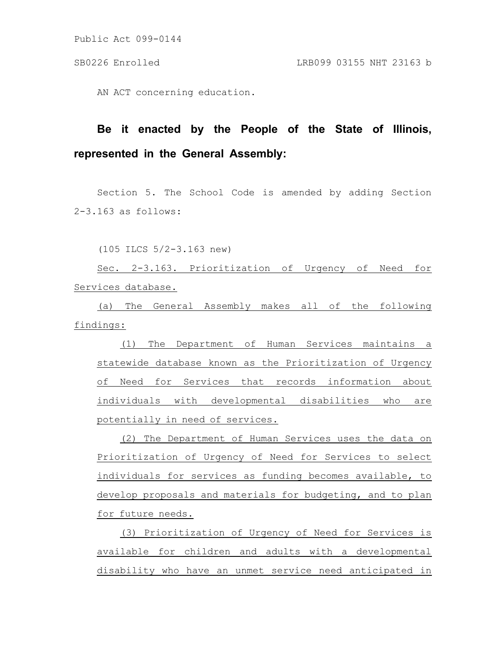Public Act 099-0144

AN ACT concerning education.

## **Be it enacted by the People of the State of Illinois, represented in the General Assembly:**

Section 5. The School Code is amended by adding Section 2-3.163 as follows:

(105 ILCS 5/2-3.163 new)

Sec. 2-3.163. Prioritization of Urgency of Need for Services database.

(a) The General Assembly makes all of the following findings:

(1) The Department of Human Services maintains a statewide database known as the Prioritization of Urgency of Need for Services that records information about individuals with developmental disabilities who are potentially in need of services.

(2) The Department of Human Services uses the data on Prioritization of Urgency of Need for Services to select individuals for services as funding becomes available, to develop proposals and materials for budgeting, and to plan for future needs.

(3) Prioritization of Urgency of Need for Services is available for children and adults with a developmental disability who have an unmet service need anticipated in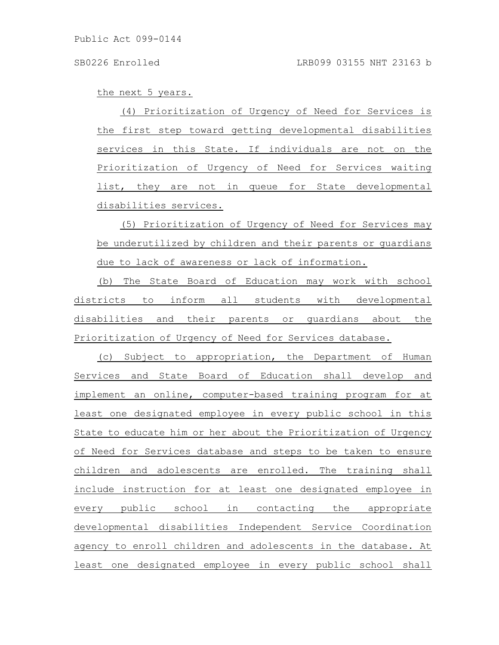the next 5 years.

(4) Prioritization of Urgency of Need for Services is the first step toward getting developmental disabilities services in this State. If individuals are not on the Prioritization of Urgency of Need for Services waiting list, they are not in queue for State developmental disabilities services.

(5) Prioritization of Urgency of Need for Services may be underutilized by children and their parents or guardians due to lack of awareness or lack of information.

(b) The State Board of Education may work with school districts to inform all students with developmental disabilities and their parents or guardians about the Prioritization of Urgency of Need for Services database.

(c) Subject to appropriation, the Department of Human Services and State Board of Education shall develop and implement an online, computer-based training program for at least one designated employee in every public school in this State to educate him or her about the Prioritization of Urgency of Need for Services database and steps to be taken to ensure children and adolescents are enrolled. The training shall include instruction for at least one designated employee in every public school in contacting the appropriate developmental disabilities Independent Service Coordination agency to enroll children and adolescents in the database. At least one designated employee in every public school shall